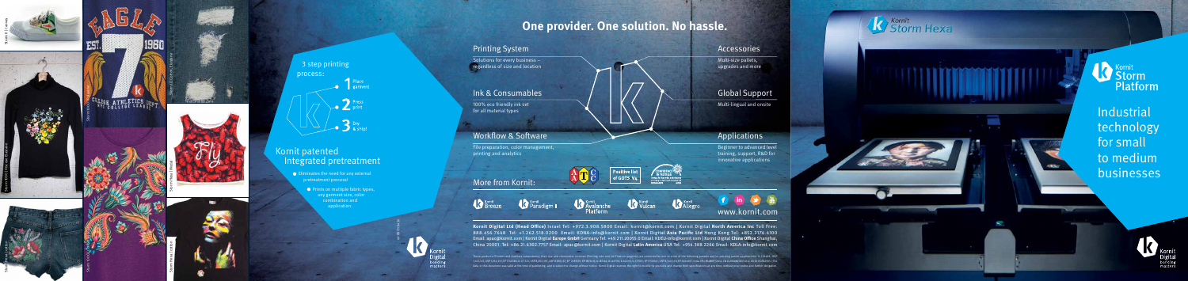

Storm II | Cotton, Elastane









3 step printing :process Place<br>garment Press<br>Print  $\sum$  Bry & ship

### Kornit patented Integrated pretreatment

 $\bullet$  Eliminates the need for any external pretreatment process!

> $\bullet$  Prints on multiple fabric types, any garment size, color  $\overline{\phantom{a}}$  combination and application.









**Industrial**  technology for small to medium businesses



#### Accessories

Multi-size pallets, upgrades and more

#### **Global Support**

Multi-lingual and onsite

#### **Applications**

Beginner to advanced level training, support, R&D for innovative applications

**Kornit** 







## **One provider. One solution. No hassle.**

#### **Printing System**

 $\sqrt{\frac{1}{100}}$  Solutions for every business regardless of size and location

#### Ink & Consumables

100% eco friendly ink set for all material types

#### **Workflow & Software**

File preparation, color management, printing and analytics

#### More from Kornit:

Kornit





ATE



Kornit

The CONFIDENCE<br>The TEST TEXT LES<br>Tested for harmful substances<br>according to Oeko-Tex® Standard 100



#### www.kornit.com

Kornit Digital Ltd (Head Office) Israel Tel: +972.3.908.5800 Email: kornit@kornit.com | Kornit Digital North America Inc Toll Free: 888.456.7648 Tel: +1.262.518.0200 Email: KDNA-info@kornit.com | Kornit Digital Asia Pacific Ltd Hong Kong Tel: +852.2174.4100 Email: apac@kornit.com | Kornit Digital Europe GmbH Germany Tel: +49.211.20055.0 Email: KDEU-info@kornit.com | Kornit Digital China Office Shanghai, China 20001. Tel: +86.21.6302.7757 Email: apac@kornit.com | Kornit Digital Latin America USA Tel: +954.388.2266 Email: KDLA-info@kornit.com

 $\begin{array}{|l|} \hline \text{Positive list} \\ \hline \text{of GOTS V4} \hline \end{array}$ 

es involved (Printing inks and Ink Fixation reagents) are protected by one or more of the following patents and/or pending patent applications: IL 139482: USP data in this document was valid at the time of publishing, and is subject to change without notice. Kornit Digital reserves the right to modify its products and change their specifications at any time, without prior notice